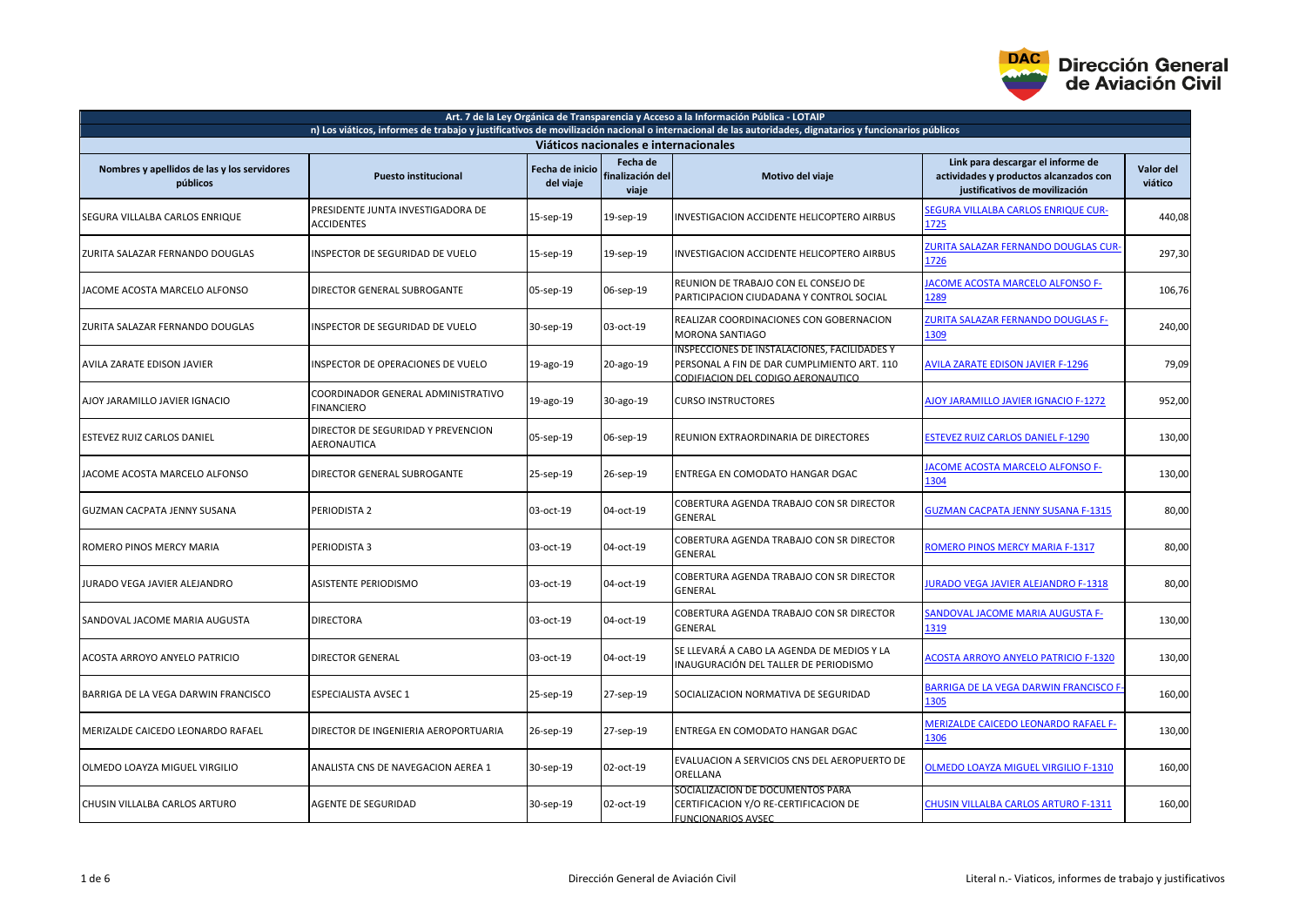

| Art. 7 de la Ley Orgánica de Transparencia y Acceso a la Información Pública - LOTAIP                                                                  |                                                         |                              |                                       |                                                                                                                                   |                                                                                                               |                      |  |  |  |  |
|--------------------------------------------------------------------------------------------------------------------------------------------------------|---------------------------------------------------------|------------------------------|---------------------------------------|-----------------------------------------------------------------------------------------------------------------------------------|---------------------------------------------------------------------------------------------------------------|----------------------|--|--|--|--|
| n) Los viáticos, informes de trabajo y justificativos de movilización nacional o internacional de las autoridades, dignatarios y funcionarios públicos |                                                         |                              |                                       |                                                                                                                                   |                                                                                                               |                      |  |  |  |  |
| Viáticos nacionales e internacionales                                                                                                                  |                                                         |                              |                                       |                                                                                                                                   |                                                                                                               |                      |  |  |  |  |
| Nombres y apellidos de las y los servidores<br>públicos                                                                                                | <b>Puesto institucional</b>                             | Fecha de inicio<br>del viaje | Fecha de<br>finalización del<br>viaje | Motivo del viaje                                                                                                                  | Link para descargar el informe de<br>actividades y productos alcanzados con<br>justificativos de movilización | Valor del<br>viático |  |  |  |  |
| SEGURA VILLALBA CARLOS ENRIQUE                                                                                                                         | PRESIDENTE JUNTA INVESTIGADORA DE<br><b>ACCIDENTES</b>  | 15-sep-19                    | 19-sep-19                             | INVESTIGACION ACCIDENTE HELICOPTERO AIRBUS                                                                                        | <b>SEGURA VILLALBA CARLOS ENRIQUE CUR-</b><br>1725                                                            | 440,08               |  |  |  |  |
| ZURITA SALAZAR FERNANDO DOUGLAS                                                                                                                        | INSPECTOR DE SEGURIDAD DE VUELO                         | 15-sep-19                    | 19-sep-19                             | INVESTIGACION ACCIDENTE HELICOPTERO AIRBUS                                                                                        | <b>IURITA SALAZAR FERNANDO DOUGLAS CUR-</b><br>L726                                                           | 297,30               |  |  |  |  |
| JACOME ACOSTA MARCELO ALFONSO                                                                                                                          | DIRECTOR GENERAL SUBROGANTE                             | 05-sep-19                    | 06-sep-19                             | REUNION DE TRABAJO CON EL CONSEJO DE<br>PARTICIPACION CIUDADANA Y CONTROL SOCIAL                                                  | <b>ACOME ACOSTA MARCELO ALFONSO F-</b><br>1289                                                                | 106,76               |  |  |  |  |
| ZURITA SALAZAR FERNANDO DOUGLAS                                                                                                                        | INSPECTOR DE SEGURIDAD DE VUELO                         | 30-sep-19                    | 03-oct-19                             | REALIZAR COORDINACIONES CON GOBERNACION<br><b>MORONA SANTIAGO</b>                                                                 | <b>ZURITA SALAZAR FERNANDO DOUGLAS F-</b><br>1309                                                             | 240,00               |  |  |  |  |
| <b>AVILA ZARATE EDISON JAVIER</b>                                                                                                                      | INSPECTOR DE OPERACIONES DE VUELO                       | 19-ago-19                    | 20-ago-19                             | INSPECCIONES DE INSTALACIONES, FACILIDADES Y<br>PERSONAL A FIN DE DAR CUMPLIMIENTO ART. 110<br>CODIFIACION DEL CODIGO AERONAUTICO | <b>AVILA ZARATE EDISON JAVIER F-1296</b>                                                                      | 79,09                |  |  |  |  |
| AJOY JARAMILLO JAVIER IGNACIO                                                                                                                          | COORDINADOR GENERAL ADMINISTRATIVO<br><b>FINANCIERO</b> | 19-ago-19                    | 30-ago-19                             | <b>CURSO INSTRUCTORES</b>                                                                                                         | <b>AJOY JARAMILLO JAVIER IGNACIO F-1272</b>                                                                   | 952,00               |  |  |  |  |
| ESTEVEZ RUIZ CARLOS DANIEL                                                                                                                             | DIRECTOR DE SEGURIDAD Y PREVENCION<br>AERONAUTICA       | 05-sep-19                    | 06-sep-19                             | REUNION EXTRAORDINARIA DE DIRECTORES                                                                                              | <b>ESTEVEZ RUIZ CARLOS DANIEL F-1290</b>                                                                      | 130,00               |  |  |  |  |
| IACOME ACOSTA MARCELO ALFONSO                                                                                                                          | DIRECTOR GENERAL SUBROGANTE                             | 25-sep-19                    | 26-sep-19                             | ENTREGA EN COMODATO HANGAR DGAC                                                                                                   | <b>ACOME ACOSTA MARCELO ALFONSO F-</b><br><b>1304</b>                                                         | 130,00               |  |  |  |  |
| GUZMAN CACPATA JENNY SUSANA                                                                                                                            | PERIODISTA 2                                            | 03-oct-19                    | 04-oct-19                             | COBERTURA AGENDA TRABAJO CON SR DIRECTOR<br><b>GENERAL</b>                                                                        | <b>GUZMAN CACPATA JENNY SUSANA F-1315</b>                                                                     | 80,00                |  |  |  |  |
| ROMERO PINOS MERCY MARIA                                                                                                                               | PERIODISTA 3                                            | 03-oct-19                    | 04-oct-19                             | COBERTURA AGENDA TRABAJO CON SR DIRECTOR<br>GENERAL                                                                               | ROMERO PINOS MERCY MARIA F-1317                                                                               | 80,00                |  |  |  |  |
| JURADO VEGA JAVIER ALEJANDRO                                                                                                                           | <b>ASISTENTE PERIODISMO</b>                             | 03-oct-19                    | 04-oct-19                             | COBERTURA AGENDA TRABAJO CON SR DIRECTOR<br><b>GENERAL</b>                                                                        | <b>URADO VEGA JAVIER ALEJANDRO F-1318</b>                                                                     | 80,00                |  |  |  |  |
| SANDOVAL JACOME MARIA AUGUSTA                                                                                                                          | <b>DIRECTORA</b>                                        | 03-oct-19                    | 04-oct-19                             | COBERTURA AGENDA TRABAJO CON SR DIRECTOR<br><b>GENERAL</b>                                                                        | <b>SANDOVAL JACOME MARIA AUGUSTA F-</b><br>1319                                                               | 130,00               |  |  |  |  |
| ACOSTA ARROYO ANYELO PATRICIO                                                                                                                          | <b>DIRECTOR GENERAL</b>                                 | 03-oct-19                    | 04-oct-19                             | SE LLEVARÁ A CABO LA AGENDA DE MEDIOS Y LA<br>INAUGURACIÓN DEL TALLER DE PERIODISMO                                               | <b>ACOSTA ARROYO ANYELO PATRICIO F-1320</b>                                                                   | 130,00               |  |  |  |  |
| BARRIGA DE LA VEGA DARWIN FRANCISCO                                                                                                                    | <b>ESPECIALISTA AVSEC 1</b>                             | 25-sep-19                    | 27-sep-19                             | SOCIALIZACION NORMATIVA DE SEGURIDAD                                                                                              | BARRIGA DE LA VEGA DARWIN FRANCISCO F<br>1305                                                                 | 160,00               |  |  |  |  |
| MERIZALDE CAICEDO LEONARDO RAFAEL                                                                                                                      | DIRECTOR DE INGENIERIA AEROPORTUARIA                    | 26-sep-19                    | 27-sep-19                             | ENTREGA EN COMODATO HANGAR DGAC                                                                                                   | <b>MERIZALDE CAICEDO LEONARDO RAFAEL F-</b><br>1306                                                           | 130,00               |  |  |  |  |
| OLMEDO LOAYZA MIGUEL VIRGILIO                                                                                                                          | ANALISTA CNS DE NAVEGACION AEREA 1                      | 30-sep-19                    | 02-oct-19                             | EVALUACION A SERVICIOS CNS DEL AEROPUERTO DE<br>ORELLANA                                                                          | <b>DLMEDO LOAYZA MIGUEL VIRGILIO F-1310</b>                                                                   | 160,00               |  |  |  |  |
| CHUSIN VILLALBA CARLOS ARTURO                                                                                                                          | <b>AGENTE DE SEGURIDAD</b>                              | 30-sep-19                    | 02-oct-19                             | SOCIALIZACION DE DOCUMENTOS PARA<br>CERTIFICACION Y/O RE-CERTIFICACION DE<br><b>FUNCIONARIOS AVSEC</b>                            | <b>CHUSIN VILLALBA CARLOS ARTURO F-1311</b>                                                                   | 160,00               |  |  |  |  |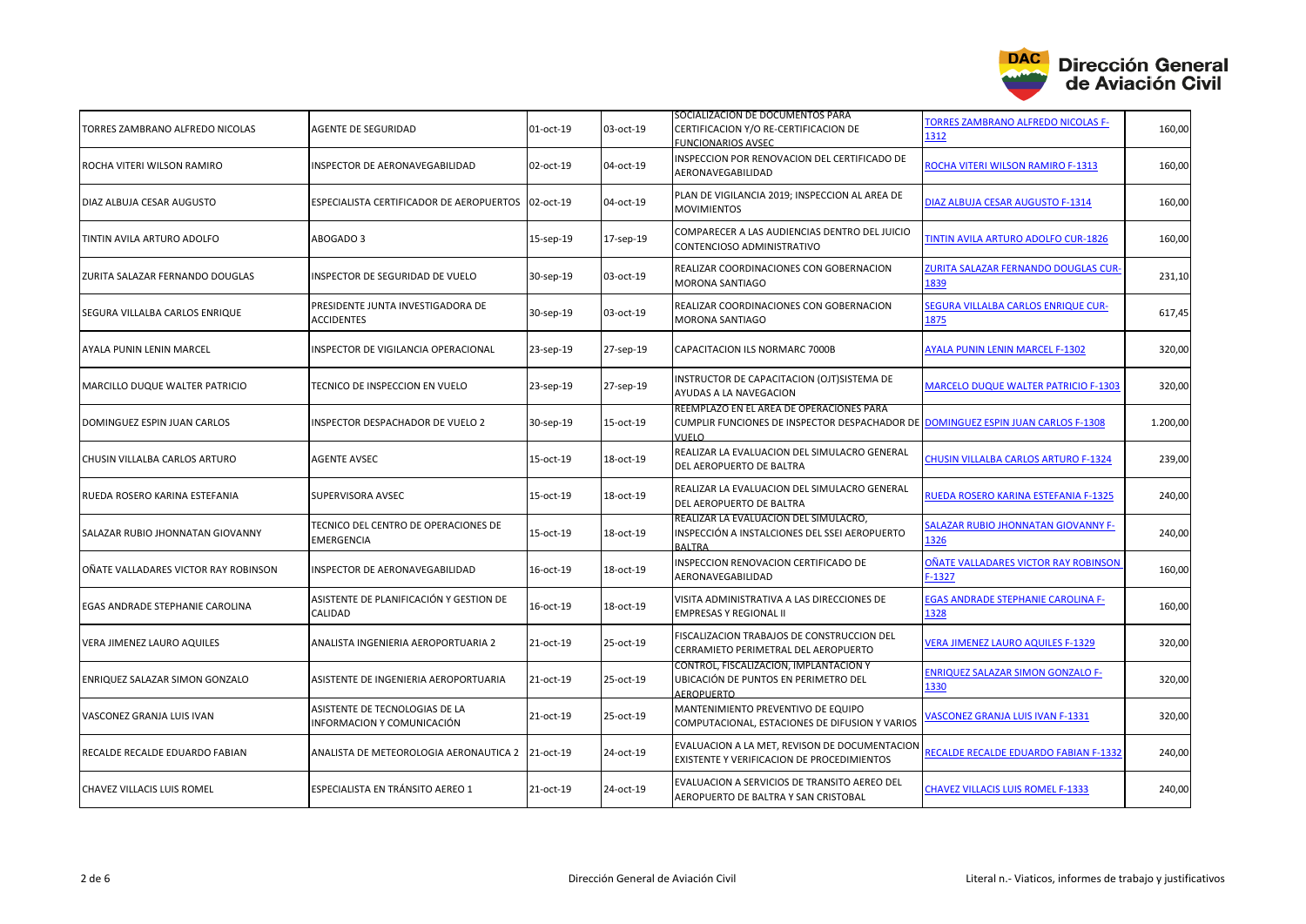

| TORRES ZAMBRANO ALFREDO NICOLAS      | AGENTE DE SEGURIDAD                                          | 01-oct-19 | 03-oct-19 | SOCIALIZACION DE DOCUMENTOS PARA<br>CERTIFICACION Y/O RE-CERTIFICACION DE<br><b>FUNCIONARIOS AVSEC</b>                                | TORRES ZAMBRANO ALFREDO NICOLAS F-<br>1312          | 160,00   |
|--------------------------------------|--------------------------------------------------------------|-----------|-----------|---------------------------------------------------------------------------------------------------------------------------------------|-----------------------------------------------------|----------|
| ROCHA VITERI WILSON RAMIRO           | INSPECTOR DE AERONAVEGABILIDAD                               | 02-oct-19 | 04-oct-19 | INSPECCION POR RENOVACION DEL CERTIFICADO DE<br>AERONAVEGABILIDAD                                                                     | ROCHA VITERI WILSON RAMIRO F-1313                   | 160,00   |
| DIAZ ALBUJA CESAR AUGUSTO            | ESPECIALISTA CERTIFICADOR DE AEROPUERTOS                     | 02-oct-19 | 04-oct-19 | PLAN DE VIGILANCIA 2019; INSPECCION AL AREA DE<br><b>MOVIMIENTOS</b>                                                                  | DIAZ ALBUJA CESAR AUGUSTO F-1314                    | 160,00   |
| TINTIN AVILA ARTURO ADOLFO           | ABOGADO 3                                                    | 15-sep-19 | 17-sep-19 | COMPARECER A LAS AUDIENCIAS DENTRO DEL JUICIO<br>CONTENCIOSO ADMINISTRATIVO                                                           | TINTIN AVILA ARTURO ADOLFO CUR-1826                 | 160,00   |
| ZURITA SALAZAR FERNANDO DOUGLAS      | INSPECTOR DE SEGURIDAD DE VUELO                              | 30-sep-19 | 03-oct-19 | REALIZAR COORDINACIONES CON GOBERNACION<br><b>MORONA SANTIAGO</b>                                                                     | <b>ZURITA SALAZAR FERNANDO DOUGLAS CUR-</b><br>1839 | 231,10   |
| SEGURA VILLALBA CARLOS ENRIQUE       | PRESIDENTE JUNTA INVESTIGADORA DE<br><b>ACCIDENTES</b>       | 30-sep-19 | 03-oct-19 | REALIZAR COORDINACIONES CON GOBERNACION<br><b>MORONA SANTIAGO</b>                                                                     | SEGURA VILLALBA CARLOS ENRIQUE CUR-<br>1875         | 617,45   |
| AYALA PUNIN LENIN MARCEL             | INSPECTOR DE VIGILANCIA OPERACIONAL                          | 23-sep-19 | 27-sep-19 | CAPACITACION ILS NORMARC 7000B                                                                                                        | <b>AYALA PUNIN LENIN MARCEL F-1302</b>              | 320,00   |
| MARCILLO DUQUE WALTER PATRICIO       | TECNICO DE INSPECCION EN VUELO                               | 23-sep-19 | 27-sep-19 | INSTRUCTOR DE CAPACITACION (OJT)SISTEMA DE<br>AYUDAS A LA NAVEGACION                                                                  | <b>MARCELO DUQUE WALTER PATRICIO F-1303</b>         | 320,00   |
| DOMINGUEZ ESPIN JUAN CARLOS          | INSPECTOR DESPACHADOR DE VUELO 2                             | 30-sep-19 | 15-oct-19 | REEMPLAZO EN EL AREA DE OPERACIONES PARA<br>CUMPLIR FUNCIONES DE INSPECTOR DESPACHADOR DE DOMINGUEZ ESPIN JUAN CARLOS F-1308<br>VUELO |                                                     | 1.200,00 |
| CHUSIN VILLALBA CARLOS ARTURO        | <b>AGENTE AVSEC</b>                                          | 15-oct-19 | 18-oct-19 | REALIZAR LA EVALUACION DEL SIMULACRO GENERAL<br>DEL AEROPUERTO DE BALTRA                                                              | CHUSIN VILLALBA CARLOS ARTURO F-1324                | 239,00   |
| RUEDA ROSERO KARINA ESTEFANIA        | SUPERVISORA AVSEC                                            | 15-oct-19 | 18-oct-19 | REALIZAR LA EVALUACION DEL SIMULACRO GENERAL<br>DEL AEROPUERTO DE BALTRA                                                              | RUEDA ROSERO KARINA ESTEFANIA F-1325                | 240,00   |
| SALAZAR RUBIO JHONNATAN GIOVANNY     | TECNICO DEL CENTRO DE OPERACIONES DE<br><b>EMERGENCIA</b>    | 15-oct-19 | 18-oct-19 | REALIZAR LA EVALUACION DEL SIMULACRO,<br>INSPECCIÓN A INSTALCIONES DEL SSEI AEROPUERTO<br><b>BALTRA</b>                               | SALAZAR RUBIO JHONNATAN GIOVANNY F-<br>1326         | 240,00   |
| OÑATE VALLADARES VICTOR RAY ROBINSON | INSPECTOR DE AERONAVEGABILIDAD                               | 16-oct-19 | 18-oct-19 | INSPECCION RENOVACION CERTIFICADO DE<br>AERONAVEGABILIDAD                                                                             | OÑATE VALLADARES VICTOR RAY ROBINSON<br>$F-1327$    | 160,00   |
| EGAS ANDRADE STEPHANIE CAROLINA      | ASISTENTE DE PLANIFICACIÓN Y GESTION DE<br>CALIDAD           | 16-oct-19 | 18-oct-19 | VISITA ADMINISTRATIVA A LAS DIRECCIONES DE<br><b>EMPRESAS Y REGIONAL II</b>                                                           | <b>EGAS ANDRADE STEPHANIE CAROLINA F-</b><br>1328   | 160,00   |
| VERA JIMENEZ LAURO AQUILES           | ANALISTA INGENIERIA AEROPORTUARIA 2                          | 21-oct-19 | 25-oct-19 | FISCALIZACION TRABAJOS DE CONSTRUCCION DEL<br>CERRAMIETO PERIMETRAL DEL AEROPUERTO                                                    | <b>VERA JIMENEZ LAURO AQUILES F-1329</b>            | 320,00   |
| ENRIQUEZ SALAZAR SIMON GONZALO       | ASISTENTE DE INGENIERIA AEROPORTUARIA                        | 21-oct-19 | 25-oct-19 | CONTROL, FISCALIZACIÓN, IMPLANTACION Y<br>UBICACIÓN DE PUNTOS EN PERIMETRO DEL<br>AEROPUERTO                                          | <b>ENRIQUEZ SALAZAR SIMON GONZALO F-</b><br>1330    | 320,00   |
| VASCONEZ GRANJA LUIS IVAN            | ASISTENTE DE TECNOLOGIAS DE LA<br>INFORMACION Y COMUNICACIÓN | 21-oct-19 | 25-oct-19 | MANTENIMIENTO PREVENTIVO DE EQUIPO<br>COMPUTACIONAL, ESTACIONES DE DIFUSION Y VARIOS                                                  | VASCONEZ GRANJA LUIS IVAN F-1331                    | 320,00   |
| RECALDE RECALDE EDUARDO FABIAN       | ANALISTA DE METEOROLOGIA AERONAUTICA 2                       | 21-oct-19 | 24-oct-19 | EVALUACION A LA MET, REVISON DE DOCUMENTACION<br>EXISTENTE Y VERIFICACION DE PROCEDIMIENTOS                                           | RECALDE RECALDE EDUARDO FABIAN F-1332               | 240,00   |
| <b>CHAVEZ VILLACIS LUIS ROMEL</b>    | ESPECIALISTA EN TRÁNSITO AEREO 1                             | 21-oct-19 | 24-oct-19 | EVALUACION A SERVICIOS DE TRANSITO AEREO DEL<br>AEROPUERTO DE BALTRA Y SAN CRISTOBAL                                                  | <b>CHAVEZ VILLACIS LUIS ROMEL F-1333</b>            | 240,00   |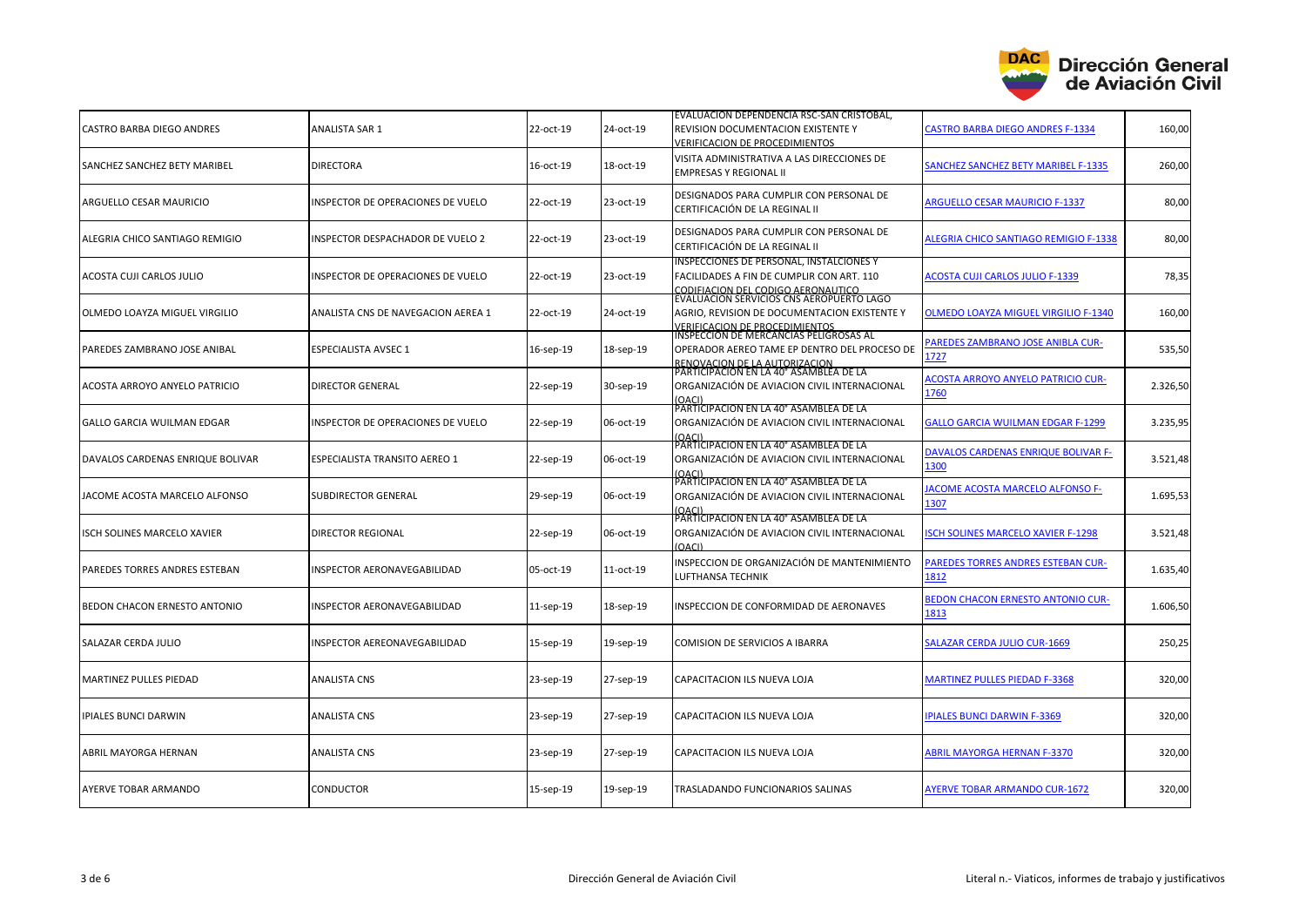

| <b>CASTRO BARBA DIEGO ANDRES</b> | <b>ANALISTA SAR 1</b>              | 22-oct-19 | 24-oct-19 | EVALUACION DEPENDENCIA RSC-SAN CRISTOBAL,<br><b>REVISION DOCUMENTACION EXISTENTE Y</b><br>VERIFICACION DE PROCEDIMIENTOS                                                | <b>CASTRO BARBA DIEGO ANDRES F-1334</b>           | 160,00   |
|----------------------------------|------------------------------------|-----------|-----------|-------------------------------------------------------------------------------------------------------------------------------------------------------------------------|---------------------------------------------------|----------|
| SANCHEZ SANCHEZ BETY MARIBEL     | <b>DIRECTORA</b>                   | 16-oct-19 | 18-oct-19 | VISITA ADMINISTRATIVA A LAS DIRECCIONES DE<br><b>EMPRESAS Y REGIONAL II</b>                                                                                             | <b>SANCHEZ SANCHEZ BETY MARIBEL F-1335</b>        | 260,00   |
| ARGUELLO CESAR MAURICIO          | INSPECTOR DE OPERACIONES DE VUELO  | 22-oct-19 | 23-oct-19 | DESIGNADOS PARA CUMPLIR CON PERSONAL DE<br>CERTIFICACIÓN DE LA REGINAL II                                                                                               | <b>ARGUELLO CESAR MAURICIO F-1337</b>             | 80,00    |
| ALEGRIA CHICO SANTIAGO REMIGIO   | INSPECTOR DESPACHADOR DE VUELO 2   | 22-oct-19 | 23-oct-19 | DESIGNADOS PARA CUMPLIR CON PERSONAL DE<br>CERTIFICACIÓN DE LA REGINAL II                                                                                               | <b>ALEGRIA CHICO SANTIAGO REMIGIO F-1338</b>      | 80,00    |
| ACOSTA CUJI CARLOS JULIO         | INSPECTOR DE OPERACIONES DE VUELO  | 22-oct-19 | 23-oct-19 | INSPECCIONES DE PERSONAL, INSTALCIONES Y<br>FACILIDADES A FIN DE CUMPLIR CON ART. 110                                                                                   | <b>ACOSTA CUJI CARLOS JULIO F-1339</b>            | 78,35    |
| OLMEDO LOAYZA MIGUEL VIRGILIO    | ANALISTA CNS DE NAVEGACION AEREA 1 | 22-oct-19 | 24-oct-19 | CODIFIACIÓN DEL CODIGO AERONAUTICO<br>EVALUACIÓN SERVICIOS CNS AEROPUERTO LAGO<br>AGRIO, REVISION DE DOCUMENTACION EXISTENTE Y<br><b>VERIFICACION DE PROCEDIMIENTOS</b> | <b>OLMEDO LOAYZA MIGUEL VIRGILIO F-1340</b>       | 160,00   |
| PAREDES ZAMBRANO JOSE ANIBAL     | <b>ESPECIALISTA AVSEC 1</b>        | 16-sep-19 | 18-sep-19 | INSPECCION DE MERCANCIAS PELIGROSAS AL<br>OPERADOR AEREO TAME EP DENTRO DEL PROCESO DE                                                                                  | <b>PAREDES ZAMBRANO JOSE ANIBLA CUR-</b><br>1727  | 535,50   |
| ACOSTA ARROYO ANYELO PATRICIO    | <b>DIRECTOR GENERAL</b>            | 22-sep-19 | 30-sep-19 | RENOVACION DE LA AUTORIZACION<br> PARTICIPACION EN LA 40° ASAMBLEA DE LA<br>ORGANIZACIÓN DE AVIACION CIVIL INTERNACIONAL<br>(NACI)                                      | <b>ACOSTA ARROYO ANYELO PATRICIO CUR-</b><br>1760 | 2.326,50 |
| GALLO GARCIA WUILMAN EDGAR       | INSPECTOR DE OPERACIONES DE VUELO  | 22-sep-19 | 06-oct-19 | PARTICIPACION EN LA 40° ASAMBLEA DE LA<br>ORGANIZACIÓN DE AVIACION CIVIL INTERNACIONAL<br>(OACI)                                                                        | <b>GALLO GARCIA WUILMAN EDGAR F-1299</b>          | 3.235,95 |
| DAVALOS CARDENAS ENRIQUE BOLIVAR | ESPECIALISTA TRANSITO AEREO 1      | 22-sep-19 | 06-oct-19 | PARTICIPACION EN LA 40° ASAMBLEA DE LA<br>ORGANIZACIÓN DE AVIACION CIVIL INTERNACIONAL<br>(NACI)                                                                        | DAVALOS CARDENAS ENRIQUE BOLIVAR F-<br>1300       | 3.521,48 |
| JACOME ACOSTA MARCELO ALFONSO    | <b>SUBDIRECTOR GENERAL</b>         | 29-sep-19 | 06-oct-19 | PARTICIPACION EN LA 40° ASAMBLEA DE LA<br>ORGANIZACIÓN DE AVIACION CIVIL INTERNACIONAL                                                                                  | <b>ACOME ACOSTA MARCELO ALFONSO F-</b><br>1307    | 1.695,53 |
| ISCH SOLINES MARCELO XAVIER      | <b>DIRECTOR REGIONAL</b>           | 22-sep-19 | 06-oct-19 | PARTICIPACION EN LA 40° ASAMBLEA DE LA<br>ORGANIZACIÓN DE AVIACION CIVIL INTERNACIONAL<br>(0ACI)                                                                        | <b>SCH SOLINES MARCELO XAVIER F-1298</b>          | 3.521,48 |
| PAREDES TORRES ANDRES ESTEBAN    | INSPECTOR AERONAVEGABILIDAD        | 05-oct-19 | 11-oct-19 | INSPECCION DE ORGANIZACIÓN DE MANTENIMIENTO<br><b>LUFTHANSA TECHNIK</b>                                                                                                 | <b>PAREDES TORRES ANDRES ESTEBAN CUR-</b><br>1812 | 1.635,40 |
| BEDON CHACON ERNESTO ANTONIO     | INSPECTOR AERONAVEGABILIDAD        | 11-sep-19 | 18-sep-19 | INSPECCION DE CONFORMIDAD DE AERONAVES                                                                                                                                  | <b>BEDON CHACON ERNESTO ANTONIO CUR-</b><br>1813  | 1.606,50 |
| SALAZAR CERDA JULIO              | INSPECTOR AEREONAVEGABILIDAD       | 15-sep-19 | 19-sep-19 | COMISION DE SERVICIOS A IBARRA                                                                                                                                          | <b>SALAZAR CERDA JULIO CUR-1669</b>               | 250,25   |
| <b>MARTINEZ PULLES PIEDAD</b>    | <b>ANALISTA CNS</b>                | 23-sep-19 | 27-sep-19 | CAPACITACION ILS NUEVA LOJA                                                                                                                                             | <b>MARTINEZ PULLES PIEDAD F-3368</b>              | 320.00   |
| <b>IPIALES BUNCI DARWIN</b>      | <b>ANALISTA CNS</b>                | 23-sep-19 | 27-sep-19 | CAPACITACION ILS NUEVA LOJA                                                                                                                                             | <b>PIALES BUNCI DARWIN F-3369</b>                 | 320,00   |
| ABRIL MAYORGA HERNAN             | <b>ANALISTA CNS</b>                | 23-sep-19 | 27-sep-19 | CAPACITACION ILS NUEVA LOJA                                                                                                                                             | <b>ABRIL MAYORGA HERNAN F-3370</b>                | 320.00   |
| AYERVE TOBAR ARMANDO             | <b>CONDUCTOR</b>                   | 15-sep-19 | 19-sep-19 | TRASLADANDO FUNCIONARIOS SALINAS                                                                                                                                        | <b>AYERVE TOBAR ARMANDO CUR-1672</b>              | 320,00   |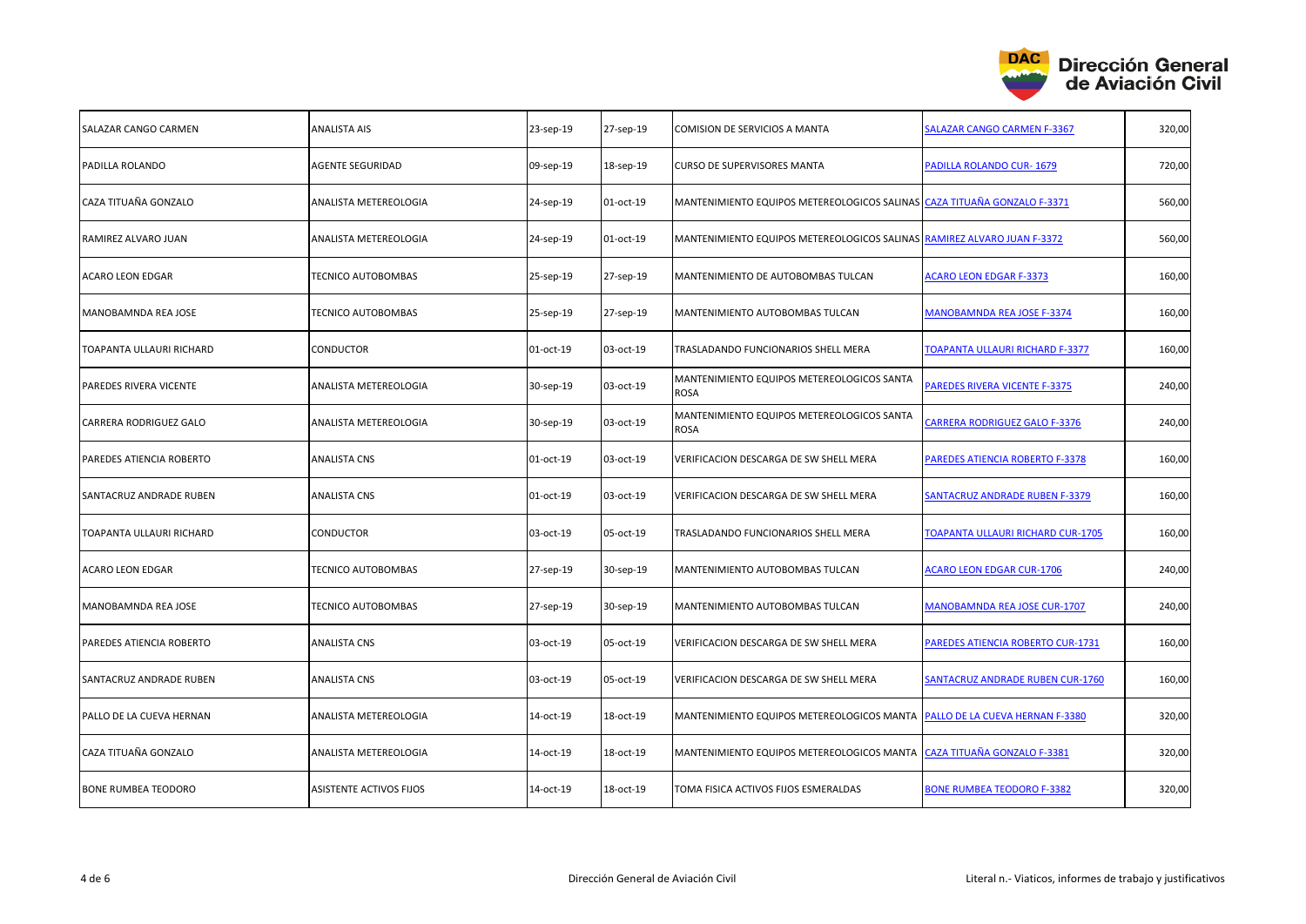

| SALAZAR CANGO CARMEN     | <b>ANALISTA AIS</b>       | 23-sep-19 | 27-sep-19 | COMISION DE SERVICIOS A MANTA                                            | <b>SALAZAR CANGO CARMEN F-3367</b>       | 320,00 |
|--------------------------|---------------------------|-----------|-----------|--------------------------------------------------------------------------|------------------------------------------|--------|
| PADILLA ROLANDO          | <b>AGENTE SEGURIDAD</b>   | 09-sep-19 | 18-sep-19 | <b>CURSO DE SUPERVISORES MANTA</b>                                       | PADILLA ROLANDO CUR-1679                 | 720,00 |
| CAZA TITUAÑA GONZALO     | ANALISTA METEREOLOGIA     | 24-sep-19 | 01-oct-19 | MANTENIMIENTO EQUIPOS METEREOLOGICOS SALINAS CAZA TITUAÑA GONZALO F-3371 |                                          | 560,00 |
| RAMIREZ ALVARO JUAN      | ANALISTA METEREOLOGIA     | 24-sep-19 | 01-oct-19 | MANTENIMIENTO EQUIPOS METEREOLOGICOS SALINAS RAMIREZ ALVARO JUAN F-3372  |                                          | 560,00 |
| <b>ACARO LEON EDGAR</b>  | TECNICO AUTOBOMBAS        | 25-sep-19 | 27-sep-19 | MANTENIMIENTO DE AUTOBOMBAS TULCAN                                       | <b>ACARO LEON EDGAR F-3373</b>           | 160,00 |
| MANOBAMNDA REA JOSE      | <b>TECNICO AUTOBOMBAS</b> | 25-sep-19 | 27-sep-19 | MANTENIMIENTO AUTOBOMBAS TULCAN                                          | MANOBAMNDA REA JOSE F-3374               | 160,00 |
| TOAPANTA ULLAURI RICHARD | <b>CONDUCTOR</b>          | 01-oct-19 | 03-oct-19 | TRASLADANDO FUNCIONARIOS SHELL MERA                                      | <b>TOAPANTA ULLAURI RICHARD F-3377</b>   | 160,00 |
| PAREDES RIVERA VICENTE   | ANALISTA METEREOLOGIA     | 30-sep-19 | 03-oct-19 | MANTENIMIENTO EQUIPOS METEREOLOGICOS SANTA<br><b>ROSA</b>                | <b>PAREDES RIVERA VICENTE F-3375</b>     | 240,00 |
| CARRERA RODRIGUEZ GALO   | ANALISTA METEREOLOGIA     | 30-sep-19 | 03-oct-19 | MANTENIMIENTO EQUIPOS METEREOLOGICOS SANTA<br>ROSA                       | <b>CARRERA RODRIGUEZ GALO F-3376</b>     | 240,00 |
| PAREDES ATIENCIA ROBERTO | <b>ANALISTA CNS</b>       | 01-oct-19 | 03-oct-19 | VERIFICACION DESCARGA DE SW SHELL MERA                                   | PAREDES ATIENCIA ROBERTO F-3378          | 160,00 |
| SANTACRUZ ANDRADE RUBEN  | ANALISTA CNS              | 01-oct-19 | 03-oct-19 | VERIFICACION DESCARGA DE SW SHELL MERA                                   | <b>SANTACRUZ ANDRADE RUBEN F-3379</b>    | 160,00 |
| TOAPANTA ULLAURI RICHARD | CONDUCTOR                 | 03-oct-19 | 05-oct-19 | TRASLADANDO FUNCIONARIOS SHELL MERA                                      | <b>TOAPANTA ULLAURI RICHARD CUR-1705</b> | 160,00 |
| ACARO LEON EDGAR         | TECNICO AUTOBOMBAS        | 27-sep-19 | 30-sep-19 | MANTENIMIENTO AUTOBOMBAS TULCAN                                          | <b>ACARO LEON EDGAR CUR-1706</b>         | 240,00 |
| MANOBAMNDA REA JOSE      | TECNICO AUTOBOMBAS        | 27-sep-19 | 30-sep-19 | MANTENIMIENTO AUTOBOMBAS TULCAN                                          | <b>MANOBAMNDA REA JOSE CUR-1707</b>      | 240,00 |
| PAREDES ATIENCIA ROBERTO | ANALISTA CNS              | 03-oct-19 | 05-oct-19 | VERIFICACION DESCARGA DE SW SHELL MERA                                   | PAREDES ATIENCIA ROBERTO CUR-1731        | 160,00 |
| SANTACRUZ ANDRADE RUBEN  | ANALISTA CNS              | 03-oct-19 | 05-oct-19 | VERIFICACION DESCARGA DE SW SHELL MERA                                   | <b>SANTACRUZ ANDRADE RUBEN CUR-1760</b>  | 160,00 |
| PALLO DE LA CUEVA HERNAN | ANALISTA METEREOLOGIA     | 14-oct-19 | 18-oct-19 | MANTENIMIENTO EQUIPOS METEREOLOGICOS MANTA                               | PALLO DE LA CUEVA HERNAN F-3380          | 320,00 |
| CAZA TITUAÑA GONZALO     | ANALISTA METEREOLOGIA     | 14-oct-19 | 18-oct-19 | MANTENIMIENTO EQUIPOS METEREOLOGICOS MANTA                               | <b>CAZA TITUAÑA GONZALO F-3381</b>       | 320,00 |
| BONE RUMBEA TEODORO      | ASISTENTE ACTIVOS FIJOS   | 14-oct-19 | 18-oct-19 | TOMA FISICA ACTIVOS FIJOS ESMERALDAS                                     | BONE RUMBEA TEODORO F-3382               | 320,00 |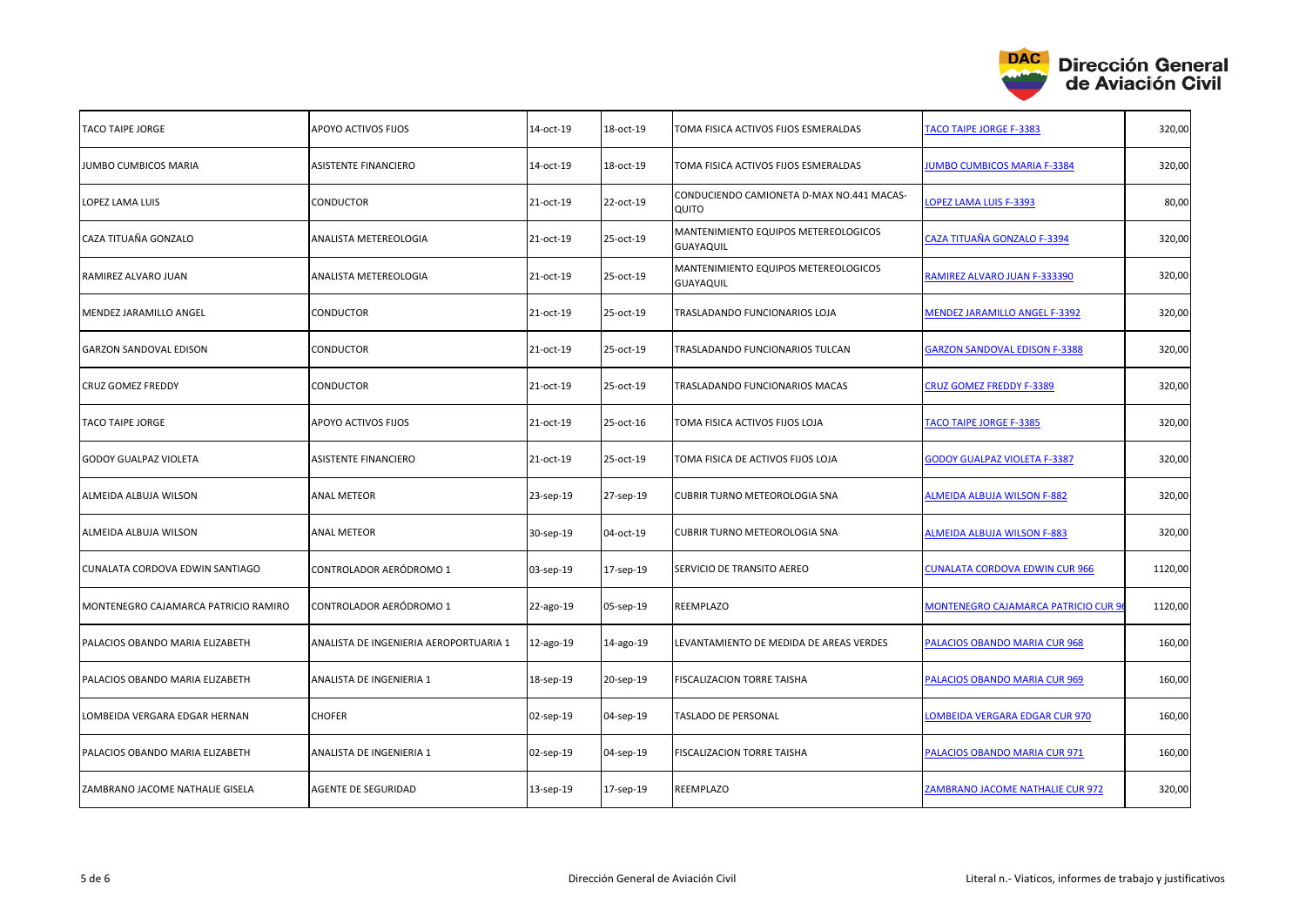

| <b>TACO TAIPE JORGE</b>              | APOYO ACTIVOS FIJOS                    | 14-oct-19 | 18-oct-19 | TOMA FISICA ACTIVOS FIJOS ESMERALDAS                     | <b>TACO TAIPE JORGE F-3383</b>          | 320,00  |
|--------------------------------------|----------------------------------------|-----------|-----------|----------------------------------------------------------|-----------------------------------------|---------|
| JUMBO CUMBICOS MARIA                 | <b>ASISTENTE FINANCIERO</b>            | 14-oct-19 | 18-oct-19 | TOMA FISICA ACTIVOS FIJOS ESMERALDAS                     | <b>JUMBO CUMBICOS MARIA F-3384</b>      | 320,00  |
| <b>LOPEZ LAMA LUIS</b>               | <b>CONDUCTOR</b>                       | 21-oct-19 | 22-oct-19 | CONDUCIENDO CAMIONETA D-MAX NO.441 MACAS-<br>QUITO       | LOPEZ LAMA LUIS F-3393                  | 80,00   |
| CAZA TITUAÑA GONZALO                 | ANALISTA METEREOLOGIA                  | 21-oct-19 | 25-oct-19 | MANTENIMIENTO EQUIPOS METEREOLOGICOS<br><b>GUAYAQUIL</b> | CAZA TITUAÑA GONZALO F-3394             | 320,00  |
| RAMIREZ ALVARO JUAN                  | ANALISTA METEREOLOGIA                  | 21-oct-19 | 25-oct-19 | MANTENIMIENTO EQUIPOS METEREOLOGICOS<br><b>GUAYAQUIL</b> | RAMIREZ ALVARO JUAN F-333390            | 320,00  |
| MENDEZ JARAMILLO ANGEL               | <b>CONDUCTOR</b>                       | 21-oct-19 | 25-oct-19 | TRASLADANDO FUNCIONARIOS LOJA                            | <b>MENDEZ JARAMILLO ANGEL F-3392</b>    | 320,00  |
| <b>GARZON SANDOVAL EDISON</b>        | CONDUCTOR                              | 21-oct-19 | 25-oct-19 | TRASLADANDO FUNCIONARIOS TULCAN                          | <b>GARZON SANDOVAL EDISON F-3388</b>    | 320,00  |
| <b>CRUZ GOMEZ FREDDY</b>             | CONDUCTOR                              | 21-oct-19 | 25-oct-19 | TRASLADANDO FUNCIONARIOS MACAS                           | CRUZ GOMEZ FREDDY F-3389                | 320,00  |
| <b>TACO TAIPE JORGE</b>              | APOYO ACTIVOS FIJOS                    | 21-oct-19 | 25-oct-16 | TOMA FISICA ACTIVOS FIJOS LOJA                           | <b>TACO TAIPE JORGE F-3385</b>          | 320,00  |
| <b>GODOY GUALPAZ VIOLETA</b>         | <b>ASISTENTE FINANCIERO</b>            | 21-oct-19 | 25-oct-19 | TOMA FISICA DE ACTIVOS FIJOS LOJA                        | <b>GODOY GUALPAZ VIOLETA F-3387</b>     | 320,00  |
| ALMEIDA ALBUJA WILSON                | <b>ANAL METEOR</b>                     | 23-sep-19 | 27-sep-19 | <b>CUBRIR TURNO METEOROLOGIA SNA</b>                     | <b>ALMEIDA ALBUJA WILSON F-882</b>      | 320,00  |
| ALMEIDA ALBUJA WILSON                | <b>ANAL METEOR</b>                     | 30-sep-19 | 04-oct-19 | CUBRIR TURNO METEOROLOGIA SNA                            | <b>ALMEIDA ALBUJA WILSON F-883</b>      | 320,00  |
| CUNALATA CORDOVA EDWIN SANTIAGO      | CONTROLADOR AERÓDROMO 1                | 03-sep-19 | 17-sep-19 | SERVICIO DE TRANSITO AEREO                               | <b>CUNALATA CORDOVA EDWIN CUR 966</b>   | 1120,00 |
| MONTENEGRO CAJAMARCA PATRICIO RAMIRO | CONTROLADOR AERÓDROMO 1                | 22-ago-19 | 05-sep-19 | REEMPLAZO                                                | MONTENEGRO CAJAMARCA PATRICIO CUR 9     | 1120,00 |
| PALACIOS OBANDO MARIA ELIZABETH      | ANALISTA DE INGENIERIA AEROPORTUARIA 1 | 12-ago-19 | 14-ago-19 | LEVANTAMIENTO DE MEDIDA DE AREAS VERDES                  | PALACIOS OBANDO MARIA CUR 968           | 160,00  |
| PALACIOS OBANDO MARIA ELIZABETH      | ANALISTA DE INGENIERIA 1               | 18-sep-19 | 20-sep-19 | FISCALIZACION TORRE TAISHA                               | PALACIOS OBANDO MARIA CUR 969           | 160,00  |
| LOMBEIDA VERGARA EDGAR HERNAN        | <b>CHOFER</b>                          | 02-sep-19 | 04-sep-19 | TASLADO DE PERSONAL                                      | LOMBEIDA VERGARA EDGAR CUR 970          | 160,00  |
| PALACIOS OBANDO MARIA ELIZABETH      | ANALISTA DE INGENIERIA 1               | 02-sep-19 | 04-sep-19 | FISCALIZACION TORRE TAISHA                               | PALACIOS OBANDO MARIA CUR 971           | 160,00  |
| ZAMBRANO JACOME NATHALIE GISELA      | <b>AGENTE DE SEGURIDAD</b>             | 13-sep-19 | 17-sep-19 | REEMPLAZO                                                | <b>ZAMBRANO JACOME NATHALIE CUR 972</b> | 320,00  |
|                                      |                                        |           |           |                                                          |                                         |         |